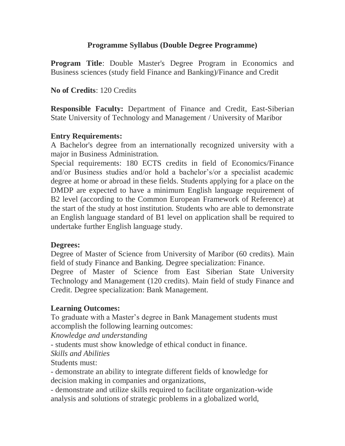# **Programme Syllabus (Double Degree Programme)**

**Program Title**: Double Master's Degree Program in Economics and Business sciences (study field Finance and Banking)/Finance and Credit

## **No of Credits**: 120 Credits

**Responsible Faculty:** Department of Finance and Credit, East-Siberian State University of Technology and Management / University of Maribor

## **Entry Requirements:**

A Bachelor's degree from an internationally recognized university with a major in Business Administration.

Special requirements: 180 ECTS credits in field of Economics/Finance and/or Business studies and/or hold a bachelor's/or a specialist academic degree at home or abroad in these fields. Students applying for a place on the DMDP are expected to have a minimum English language requirement of B2 level (according to the Common European Framework of Reference) at the start of the study at host institution. Students who are able to demonstrate an English language standard of B1 level on application shall be required to undertake further English language study.

### **Degrees:**

Degree of Master of Science from University of Maribor (60 credits). Main field of study Finance and Banking. Degree specialization: Finance.

Degree of Master of Science from East Siberian State University Technology and Management (120 credits). Main field of study Finance and Credit. Degree specialization: Bank Management.

## **Learning Outcomes:**

To graduate with a Master's degree in Bank Management students must accomplish the following learning outcomes:

*Knowledge and understanding*

- students must show knowledge of ethical conduct in finance.

### *Skills and Abilities*

Students must:

- demonstrate an ability to integrate different fields of knowledge for decision making in companies and organizations,

- demonstrate and utilize skills required to facilitate organization-wide analysis and solutions of strategic problems in a globalized world,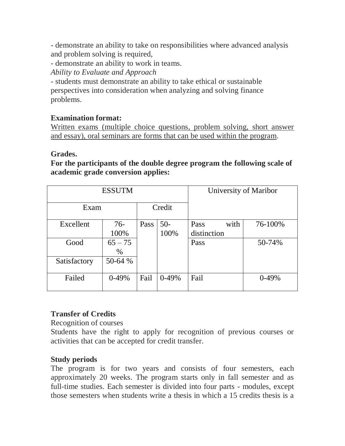- demonstrate an ability to take on responsibilities where advanced analysis and problem solving is required,

- demonstrate an ability to work in teams.

*Ability to Evaluate and Approach*

- students must demonstrate an ability to take ethical or sustainable perspectives into consideration when analyzing and solving finance problems.

# **Examination format:**

Written exams (multiple choice questions, problem solving, short answer and essay), oral seminars are forms that can be used within the program.

### **Grades.**

**For the participants of the double degree program the following scale of academic grade conversion applies:**

| <b>ESSUTM</b> |           |        |         |              | University of Maribor |
|---------------|-----------|--------|---------|--------------|-----------------------|
| Exam          |           | Credit |         |              |                       |
| Excellent     | 76-       | Pass   | $50-$   | with<br>Pass | 76-100%               |
|               | 100%      |        | 100%    | distinction  |                       |
| Good          | $65 - 75$ |        |         | Pass         | 50-74%                |
|               | $\%$      |        |         |              |                       |
| Satisfactory  | 50-64 %   |        |         |              |                       |
|               |           |        |         |              |                       |
| Failed        | $0-49%$   | Fail   | $0-49%$ | Fail         | $0-49%$               |
|               |           |        |         |              |                       |

# **Transfer of Credits**

Recognition of courses

Students have the right to apply for recognition of previous courses or activities that can be accepted for credit transfer.

# **Study periods**

The program is for two years and consists of four semesters, each approximately 20 weeks. The program starts only in fall semester and as full-time studies. Each semester is divided into four parts - modules, except those semesters when students write a thesis in which a 15 credits thesis is a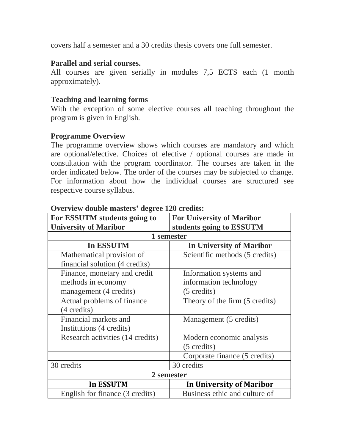covers half a semester and a 30 credits thesis covers one full semester.

## **Parallel and serial courses.**

All courses are given serially in modules 7,5 ECTS each  $(1 \text{ month})$ approximately).

## **Teaching and learning forms**

With the exception of some elective courses all teaching throughout the program is given in English.

### **Programme Overview**

The programme overview shows which courses are mandatory and which are optional/elective. Choices of elective / optional courses are made in consultation with the program coordinator. The courses are taken in the order indicated below. The order of the courses may be subjected to change. For information about how the individual courses are structured see respective course syllabus.

| For ESSUTM students going to     | <b>For University of Maribor</b> |  |  |  |  |
|----------------------------------|----------------------------------|--|--|--|--|
| <b>University of Maribor</b>     | students going to ESSUTM         |  |  |  |  |
| 1 semester                       |                                  |  |  |  |  |
| In ESSUTM                        | <b>In University of Maribor</b>  |  |  |  |  |
| Mathematical provision of        | Scientific methods (5 credits)   |  |  |  |  |
| financial solution (4 credits)   |                                  |  |  |  |  |
| Finance, monetary and credit     | Information systems and          |  |  |  |  |
| methods in economy               | information technology           |  |  |  |  |
| management (4 credits)           | $(5 \text{ credits})$            |  |  |  |  |
| Actual problems of finance       | Theory of the firm (5 credits)   |  |  |  |  |
| (4 credits)                      |                                  |  |  |  |  |
| Financial markets and            | Management (5 credits)           |  |  |  |  |
| Institutions (4 credits)         |                                  |  |  |  |  |
| Research activities (14 credits) | Modern economic analysis         |  |  |  |  |
|                                  | (5 credits)                      |  |  |  |  |
|                                  | Corporate finance (5 credits)    |  |  |  |  |
| 30 credits                       | 30 credits                       |  |  |  |  |
| 2 semester                       |                                  |  |  |  |  |
| In ESSUTM                        | In University of Maribor         |  |  |  |  |
| English for finance (3 credits)  | Business ethic and culture of    |  |  |  |  |

### **Overview double masters' degree 120 credits:**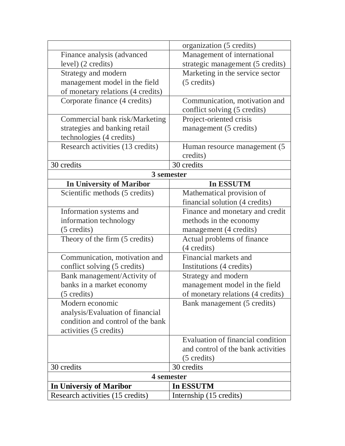|                                   | organization (5 credits)           |  |  |  |
|-----------------------------------|------------------------------------|--|--|--|
| Finance analysis (advanced        | Management of international        |  |  |  |
| level) (2 credits)                | strategic management (5 credits)   |  |  |  |
| Strategy and modern               | Marketing in the service sector    |  |  |  |
| management model in the field     | (5 credits)                        |  |  |  |
| of monetary relations (4 credits) |                                    |  |  |  |
| Corporate finance (4 credits)     | Communication, motivation and      |  |  |  |
|                                   | conflict solving (5 credits)       |  |  |  |
| Commercial bank risk/Marketing    | Project-oriented crisis            |  |  |  |
| strategies and banking retail     | management (5 credits)             |  |  |  |
| technologies (4 credits)          |                                    |  |  |  |
| Research activities (13 credits)  | Human resource management (5)      |  |  |  |
|                                   | credits)                           |  |  |  |
| 30 credits                        | 30 credits                         |  |  |  |
| 3 semester                        |                                    |  |  |  |
| <b>In University of Maribor</b>   | In ESSUTM                          |  |  |  |
| Scientific methods (5 credits)    | Mathematical provision of          |  |  |  |
|                                   | financial solution (4 credits)     |  |  |  |
| Information systems and           | Finance and monetary and credit    |  |  |  |
| information technology            | methods in the economy             |  |  |  |
| (5 credits)                       | management (4 credits)             |  |  |  |
| Theory of the firm (5 credits)    | Actual problems of finance         |  |  |  |
|                                   | (4 credits)                        |  |  |  |
| Communication, motivation and     | Financial markets and              |  |  |  |
| conflict solving (5 credits)      | Institutions (4 credits)           |  |  |  |
| Bank management/Activity of       | Strategy and modern                |  |  |  |
| banks in a market economy         | management model in the field      |  |  |  |
| $(5 \text{ credits})$             | of monetary relations (4 credits)  |  |  |  |
| Modern economic                   | Bank management (5 credits)        |  |  |  |
| analysis/Evaluation of financial  |                                    |  |  |  |
| condition and control of the bank |                                    |  |  |  |
| activities (5 credits)            |                                    |  |  |  |
|                                   | Evaluation of financial condition  |  |  |  |
|                                   | and control of the bank activities |  |  |  |
|                                   | $(5 \text{ credits})$              |  |  |  |
| 30 credits                        | 30 credits                         |  |  |  |
| 4 semester                        |                                    |  |  |  |
| In Universiy of Maribor           | In ESSUTM                          |  |  |  |
| Research activities (15 credits)  | Internship (15 credits)            |  |  |  |